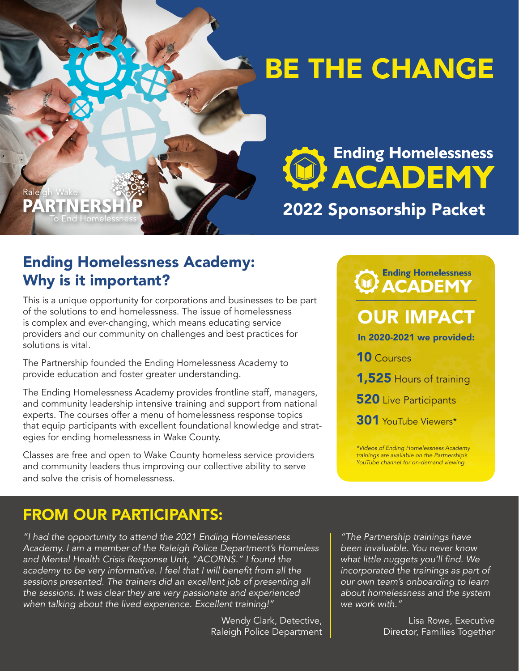# BE THE CHANGE

PARTNER **To End Homelessnes** 

Raleigh Wake

Ending Homelessness<br>ACADEMY

# 2022 Sponsorship Packet

## Ending Homelessness Academy: Why is it important?

This is a unique opportunity for corporations and businesses to be part of the solutions to end homelessness. The issue of homelessness is complex and ever-changing, which means educating service providers and our community on challenges and best practices for solutions is vital.

The Partnership founded the Ending Homelessness Academy to provide education and foster greater understanding.

The Ending Homelessness Academy provides frontline staff, managers, and community leadership intensive training and support from national experts. The courses offer a menu of homelessness response topics that equip participants with excellent foundational knowledge and strategies for ending homelessness in Wake County.

Classes are free and open to Wake County homeless service providers and community leaders thus improving our collective ability to serve and solve the crisis of homelessness.

# **Ending Homelessness WACADEMY**

# OUR IMPACT

In 2020-2021 we provided:

10 Courses

- 1,525 Hours of training
- **520** Live Participants

301 YouTube Viewers\*

*\*Videos of Ending Homelessness Academy trainings are available on the Partnership's YouTube channel for on-demand viewing.* 

## FROM OUR PARTICIPANTS:

*"I had the opportunity to attend the 2021 Ending Homelessness Academy. I am a member of the Raleigh Police Department's Homeless and Mental Health Crisis Response Unit, "ACORNS." I found the*  academy to be very informative. I feel that I will benefit from all the *sessions presented. The trainers did an excellent job of presenting all the sessions. It was clear they are very passionate and experienced when talking about the lived experience. Excellent training!"* 

> Wendy Clark, Detective, Raleigh Police Department

*"The Partnership trainings have been invaluable. You never know*  what little nuggets you'll find. We *incorporated the trainings as part of our own team's onboarding to learn about homelessness and the system we work with."*

> Lisa Rowe, Executive Director, Families Together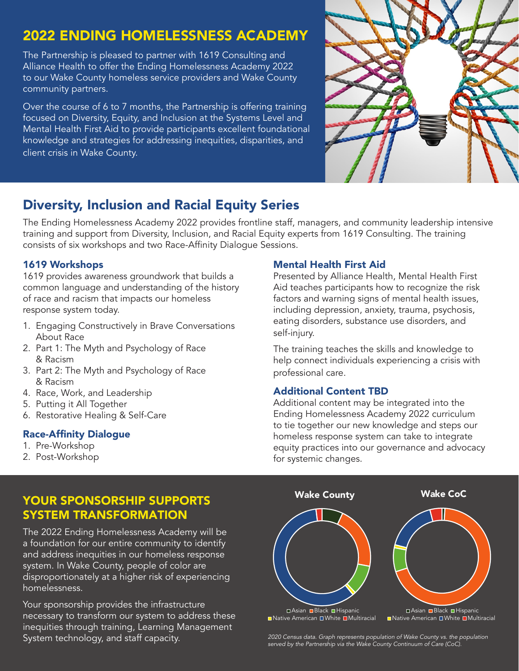## 2022 ENDING HOMELESSNESS ACADEMY

The Partnership is pleased to partner with 1619 Consulting and Alliance Health to offer the Ending Homelessness Academy 2022 to our Wake County homeless service providers and Wake County community partners.

Over the course of 6 to 7 months, the Partnership is offering training focused on Diversity, Equity, and Inclusion at the Systems Level and Mental Health First Aid to provide participants excellent foundational knowledge and strategies for addressing inequities, disparities, and client crisis in Wake County.



### Diversity, Inclusion and Racial Equity Series

The Ending Homelessness Academy 2022 provides frontline staff, managers, and community leadership intensive training and support from Diversity, Inclusion, and Racial Equity experts from 1619 Consulting. The training consists of six workshops and two Race-Affinity Dialogue Sessions.

#### 1619 Workshops

1619 provides awareness groundwork that builds a common language and understanding of the history of race and racism that impacts our homeless response system today.

- 1. Engaging Constructively in Brave Conversations About Race
- 2. Part 1: The Myth and Psychology of Race & Racism
- 3. Part 2: The Myth and Psychology of Race & Racism
- 4. Race, Work, and Leadership
- 5. Putting it All Together
- 6. Restorative Healing & Self-Care

#### Race-Affinity Dialogue

- 1. Pre-Workshop
- 2. Post-Workshop

#### Mental Health First Aid

Presented by Alliance Health, Mental Health First Aid teaches participants how to recognize the risk factors and warning signs of mental health issues, including depression, anxiety, trauma, psychosis, eating disorders, substance use disorders, and self-injury.

The training teaches the skills and knowledge to help connect individuals experiencing a crisis with professional care.

#### Additional Content TBD

Additional content may be integrated into the Ending Homelessness Academy 2022 curriculum to tie together our new knowledge and steps our homeless response system can take to integrate equity practices into our governance and advocacy for systemic changes.



The 2022 Ending Homelessness Academy will be a foundation for our entire community to identify and address inequities in our homeless response system. In Wake County, people of color are disproportionately at a higher risk of experiencing homelessness.

Your sponsorship provides the infrastructure necessary to transform our system to address these inequities through training, Learning Management



System technology, and staff capacity. The Mannic and the Make County of Wake County vs. the population System<br>Served by the Partnership via the Wake County Continuum of Care (CoC).